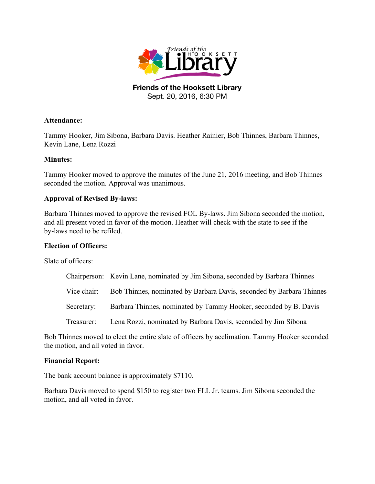

**Friends of the Hooksett Library** Sept. 20, 2016, 6:30 PM

## **Attendance:**

Tammy Hooker, Jim Sibona, Barbara Davis. Heather Rainier, Bob Thinnes, Barbara Thinnes, Kevin Lane, Lena Rozzi

# **Minutes:**

Tammy Hooker moved to approve the minutes of the June 21, 2016 meeting, and Bob Thinnes seconded the motion. Approval was unanimous.

## **Approval of Revised By-laws:**

Barbara Thinnes moved to approve the revised FOL By-laws. Jim Sibona seconded the motion, and all present voted in favor of the motion. Heather will check with the state to see if the by-laws need to be refiled.

## **Election of Officers:**

Slate of officers:

|             | Chairperson: Kevin Lane, nominated by Jim Sibona, seconded by Barbara Thinnes |
|-------------|-------------------------------------------------------------------------------|
| Vice chair: | Bob Thinnes, nominated by Barbara Davis, seconded by Barbara Thinnes          |
| Secretary:  | Barbara Thinnes, nominated by Tammy Hooker, seconded by B. Davis              |
| Treasurer:  | Lena Rozzi, nominated by Barbara Davis, seconded by Jim Sibona                |

Bob Thinnes moved to elect the entire slate of officers by acclimation. Tammy Hooker seconded the motion, and all voted in favor.

#### **Financial Report:**

The bank account balance is approximately \$7110.

Barbara Davis moved to spend \$150 to register two FLL Jr. teams. Jim Sibona seconded the motion, and all voted in favor.